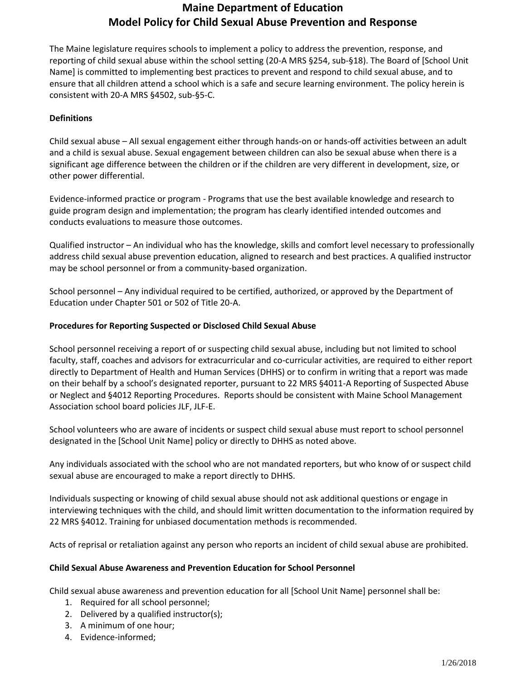## **Maine Department of Education Model Policy for Child Sexual Abuse Prevention and Response**

The Maine legislature requires schools to implement a policy to address the prevention, response, and reporting of child sexual abuse within the school setting (20-A MRS §254, sub-§18). The Board of [School Unit Name] is committed to implementing best practices to prevent and respond to child sexual abuse, and to ensure that all children attend a school which is a safe and secure learning environment. The policy herein is consistent with 20-A MRS §4502, sub-§5-C.

## **Definitions**

Child sexual abuse – All sexual engagement either through hands-on or hands-off activities between an adult and a child is sexual abuse. Sexual engagement between children can also be sexual abuse when there is a significant age difference between the children or if the children are very different in development, size, or other power differential.

Evidence-informed practice or program - Programs that use the best available knowledge and research to guide program design and implementation; the program has clearly identified intended outcomes and conducts evaluations to measure those outcomes.

Qualified instructor – An individual who has the knowledge, skills and comfort level necessary to professionally address child sexual abuse prevention education, aligned to research and best practices. A qualified instructor may be school personnel or from a community-based organization.

School personnel – Any individual required to be certified, authorized, or approved by the Department of Education under Chapter 501 or 502 of Title 20-A.

## **Procedures for Reporting Suspected or Disclosed Child Sexual Abuse**

School personnel receiving a report of or suspecting child sexual abuse, including but not limited to school faculty, staff, coaches and advisors for extracurricular and co-curricular activities, are required to either report directly to Department of Health and Human Services (DHHS) or to confirm in writing that a report was made on their behalf by a school's designated reporter, pursuant to 22 MRS §4011-A Reporting of Suspected Abuse or Neglect and §4012 Reporting Procedures. Reports should be consistent with Maine School Management Association school board policies JLF, JLF-E.

School volunteers who are aware of incidents or suspect child sexual abuse must report to school personnel designated in the [School Unit Name] policy or directly to DHHS as noted above.

Any individuals associated with the school who are not mandated reporters, but who know of or suspect child sexual abuse are encouraged to make a report directly to DHHS.

Individuals suspecting or knowing of child sexual abuse should not ask additional questions or engage in interviewing techniques with the child, and should limit written documentation to the information required by 22 MRS §4012. Training for unbiased documentation methods is recommended.

Acts of reprisal or retaliation against any person who reports an incident of child sexual abuse are prohibited.

#### **Child Sexual Abuse Awareness and Prevention Education for School Personnel**

Child sexual abuse awareness and prevention education for all [School Unit Name] personnel shall be:

- 1. Required for all school personnel;
- 2. Delivered by a qualified instructor(s);
- 3. A minimum of one hour;
- 4. Evidence-informed;